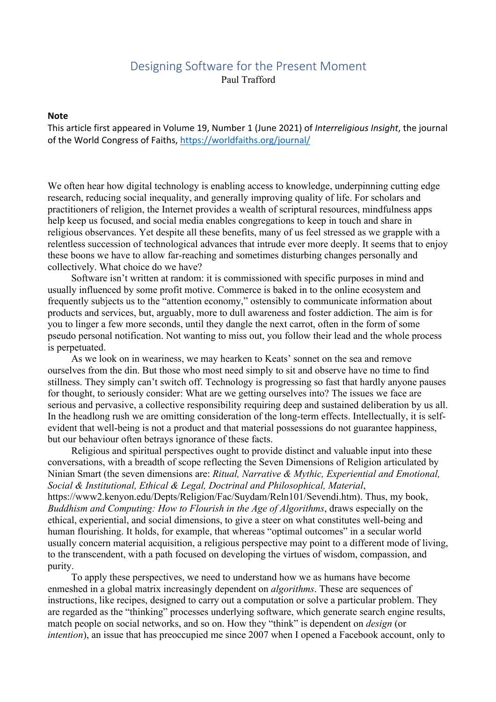## Designing Software for the Present Moment Paul Trafford

## **Note**

This article first appeared in Volume 19, Number 1 (June 2021) of *Interreligious Insight*, the journal of the World Congress of Faiths, https://worldfaiths.org/journal/

We often hear how digital technology is enabling access to knowledge, underpinning cutting edge research, reducing social inequality, and generally improving quality of life. For scholars and practitioners of religion, the Internet provides a wealth of scriptural resources, mindfulness apps help keep us focused, and social media enables congregations to keep in touch and share in religious observances. Yet despite all these benefits, many of us feel stressed as we grapple with a relentless succession of technological advances that intrude ever more deeply. It seems that to enjoy these boons we have to allow far-reaching and sometimes disturbing changes personally and collectively. What choice do we have?

Software isn't written at random: it is commissioned with specific purposes in mind and usually influenced by some profit motive. Commerce is baked in to the online ecosystem and frequently subjects us to the "attention economy," ostensibly to communicate information about products and services, but, arguably, more to dull awareness and foster addiction. The aim is for you to linger a few more seconds, until they dangle the next carrot, often in the form of some pseudo personal notification. Not wanting to miss out, you follow their lead and the whole process is perpetuated.

As we look on in weariness, we may hearken to Keats' sonnet on the sea and remove ourselves from the din. But those who most need simply to sit and observe have no time to find stillness. They simply can't switch off. Technology is progressing so fast that hardly anyone pauses for thought, to seriously consider: What are we getting ourselves into? The issues we face are serious and pervasive, a collective responsibility requiring deep and sustained deliberation by us all. In the headlong rush we are omitting consideration of the long-term effects. Intellectually, it is selfevident that well-being is not a product and that material possessions do not guarantee happiness, but our behaviour often betrays ignorance of these facts.

Religious and spiritual perspectives ought to provide distinct and valuable input into these conversations, with a breadth of scope reflecting the Seven Dimensions of Religion articulated by Ninian Smart (the seven dimensions are: *Ritual, Narrative & Mythic, Experiential and Emotional, Social & Institutional, Ethical & Legal, Doctrinal and Philosophical, Material*, https://www2.kenyon.edu/Depts/Religion/Fac/Suydam/Reln101/Sevendi.htm). Thus, my book, *Buddhism and Computing: How to Flourish in the Age of Algorithms*, draws especially on the ethical, experiential, and social dimensions, to give a steer on what constitutes well-being and human flourishing. It holds, for example, that whereas "optimal outcomes" in a secular world usually concern material acquisition, a religious perspective may point to a different mode of living, to the transcendent, with a path focused on developing the virtues of wisdom, compassion, and purity.

To apply these perspectives, we need to understand how we as humans have become enmeshed in a global matrix increasingly dependent on *algorithms*. These are sequences of instructions, like recipes, designed to carry out a computation or solve a particular problem. They are regarded as the "thinking" processes underlying software, which generate search engine results, match people on social networks, and so on. How they "think" is dependent on *design* (or *intention*), an issue that has preoccupied me since 2007 when I opened a Facebook account, only to